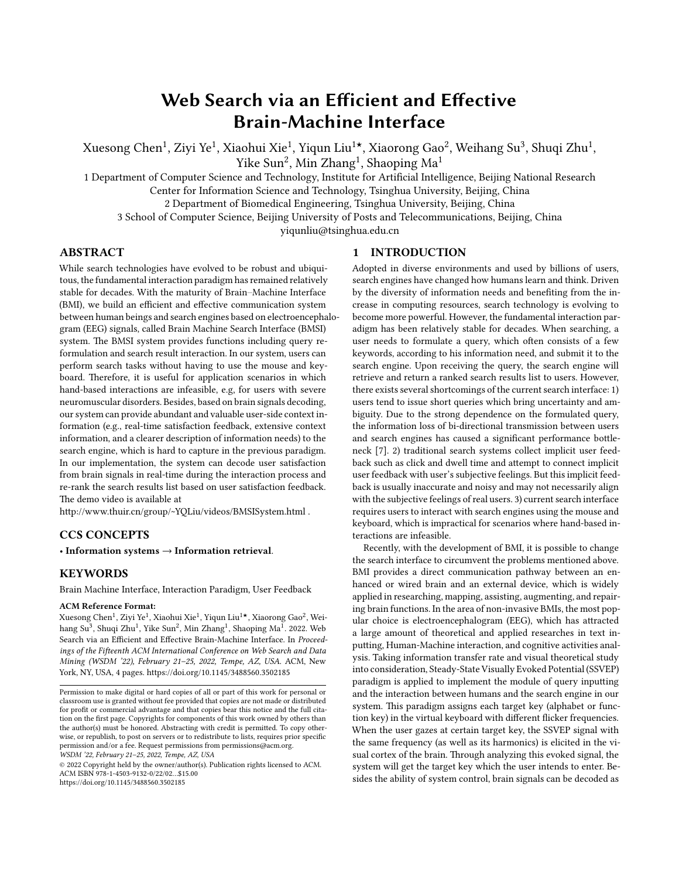# **Web Search via an Efficient and Effective Brain-Machine Interface**

Xuesong Chen<sup>1</sup>, Ziyi Ye<sup>1</sup>, Xiaohui Xie<sup>1</sup>, Yiqun Liu<sup>1</sup>\*, Xiaorong Gao<sup>2</sup>, Weihang Su<sup>3</sup>, Shuqi Zhu<sup>1</sup>, Yike Sun $^2$ , Min Zhang $^1$ , Shaoping Ma $^1$ 

1 Department of Computer Science and Technology, Institute for Artificial Intelligence, Beijing National Research Center for Information Science and Technology, Tsinghua University, Beijing, China

2 Department of Biomedical Engineering, Tsinghua University, Beijing, China

3 School of Computer Science, Beijing University of Posts and Telecommunications, Beijing, China

yiqunliu@tsinghua.edu.cn

# **ABSTRACT**

While search technologies have evolved to be robust and ubiquitous, the fundamental interaction paradigm has remained relatively stable for decades. With the maturity of Brain–Machine Interface (BMI), we build an efficient and effective communication system between human beings and search engines based on electroencephalogram (EEG) signals, called Brain Machine Search Interface (BMSI) system. The BMSI system provides functions including query reformulation and search result interaction. In our system, users can perform search tasks without having to use the mouse and keyboard. Therefore, it is useful for application scenarios in which hand-based interactions are infeasible, e.g, for users with severe neuromuscular disorders. Besides, based on brain signals decoding, our system can provide abundant and valuable user-side context information (e.g., real-time satisfaction feedback, extensive context information, and a clearer description of information needs) to the search engine, which is hard to capture in the previous paradigm. In our implementation, the system can decode user satisfaction from brain signals in real-time during the interaction process and re-rank the search results list based on user satisfaction feedback. The demo video is available at

http://www.thuir.cn/group/~YQLiu/videos/BMSISystem.html .

# **CCS CONCEPTS**

• **Information systems** → **Information retrieval**.

# **KEYWORDS**

Brain Machine Interface, Interaction Paradigm, User Feedback

#### **ACM Reference Format:**

Xuesong Chen<sup>1</sup>, Ziyi Ye<sup>1</sup>, Xiaohui Xie<sup>1</sup>, Yiqun Liu<sup>1</sup>★, Xiaorong Gao<sup>2</sup>, Weihang Su<sup>3</sup>, Shuqi Zhu<sup>1</sup>, Yike Sun<sup>2</sup>, Min Zhang<sup>1</sup>, Shaoping Ma<sup>1</sup>. 2022. Web Search via an Efficient and Effective Brain-Machine Interface. In *Proceedings of the Fifteenth ACM International Conference on Web Search and Data Mining (WSDM '22), February 21–25, 2022, Tempe, AZ, USA.* ACM, New York, NY, USA, [4](#page-3-0) pages. <https://doi.org/10.1145/3488560.3502185>

© 2022 Copyright held by the owner/author(s). Publication rights licensed to ACM. ACM ISBN 978-1-4503-9132-0/22/02…\$15.00 <https://doi.org/10.1145/3488560.3502185>

#### **1 INTRODUCTION**

Adopted in diverse environments and used by billions of users, search engines have changed how humans learn and think. Driven by the diversity of information needs and benefiting from the increase in computing resources, search technology is evolving to become more powerful. However, the fundamental interaction paradigm has been relatively stable for decades. When searching, a user needs to formulate a query, which often consists of a few keywords, according to his information need, and submit it to the search engine. Upon receiving the query, the search engine will retrieve and return a ranked search results list to users. However, there exists several shortcomings of the current search interface: 1) users tend to issue short queries which bring uncertainty and ambiguity. Due to the strong dependence on the formulated query, the information loss of bi-directional transmission between users and search engines has caused a significant performance bottleneck[[7\]](#page-3-1). 2) traditional search systems collect implicit user feedback such as click and dwell time and attempt to connect implicit user feedback with user's subjective feelings. But this implicit feedback is usually inaccurate and noisy and may not necessarily align with the subjective feelings of real users. 3) current search interface requires users to interact with search engines using the mouse and keyboard, which is impractical for scenarios where hand-based interactions are infeasible.

Recently, with the development of BMI, it is possible to change the search interface to circumvent the problems mentioned above. BMI provides a direct communication pathway between an enhanced or wired brain and an external device, which is widely applied in researching, mapping, assisting, augmenting, and repairing brain functions. In the area of non-invasive BMIs, the most popular choice is electroencephalogram (EEG), which has attracted a large amount of theoretical and applied researches in text inputting, Human-Machine interaction, and cognitive activities analysis. Taking information transfer rate and visual theoretical study into consideration, Steady-State Visually Evoked Potential (SSVEP) paradigm is applied to implement the module of query inputting and the interaction between humans and the search engine in our system. This paradigm assigns each target key (alphabet or function key) in the virtual keyboard with different flicker frequencies. When the user gazes at certain target key, the SSVEP signal with the same frequency (as well as its harmonics) is elicited in the visual cortex of the brain. Through analyzing this evoked signal, the system will get the target key which the user intends to enter. Besides the ability of system control, brain signals can be decoded as

Permission to make digital or hard copies of all or part of this work for personal or classroom use is granted without fee provided that copies are not made or distributed for profit or commercial advantage and that copies bear this notice and the full citation on the first page. Copyrights for components of this work owned by others than the author(s) must be honored. Abstracting with credit is permitted. To copy otherwise, or republish, to post on servers or to redistribute to lists, requires prior specific permission and/or a fee. Request permissions from permissions@acm.org. *WSDM '22, February 21–25, 2022, Tempe, AZ, USA*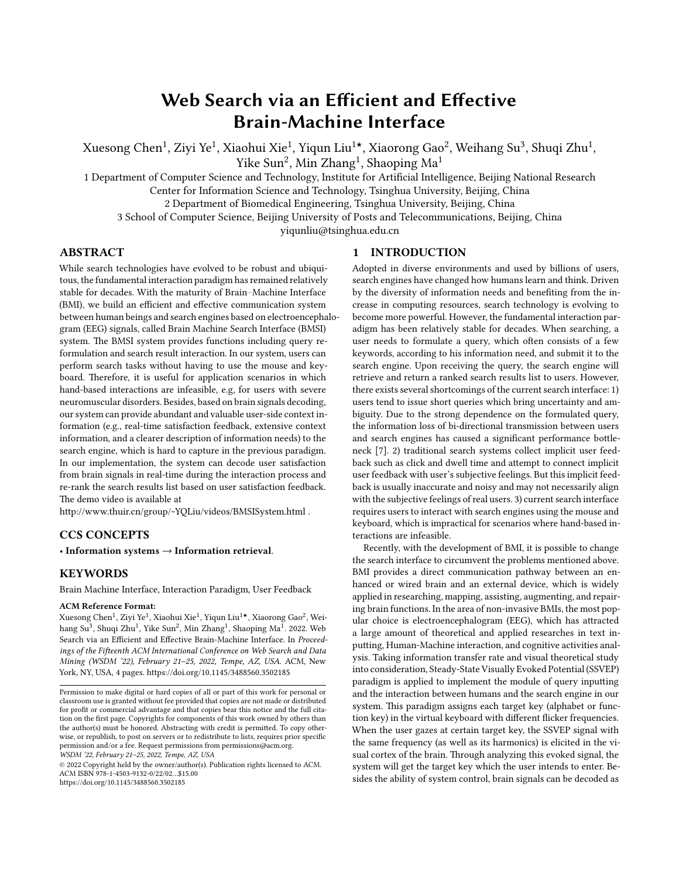the search context and user feedback to understand and improve the search process. For example, Moshfeghi et al.[[8\]](#page-3-2) find that brain signals are related to the occurrence of information need and Gwizdka et al. [\[5](#page-3-3)] decode brain signals to the relevance judgment.

In this paper, we build a search system based on the EEG device. Users can perform search tasks including formulating/submitting queries, interacting with search results. Moreover, we estimate the search state and decode user satisfaction and utilize the inferred feedback for evaluating and re-ranking search results to improve search experience. As far as we know, our implemented system is the first closed-loop system that users can interact with without relying on the mouse or keyboard. Based on collected brain signals, the proposed system can improve the search experience proactively, dynamically and personally.

#### **2 SYSTEM OVERVIEW**

BMSI System consists of two parts: User Interaction Module and Data Process Module, as shown in Figure [1.](#page-2-0) The User Interaction Module provides interaction interfaces including the visual speller page, landing pages, and SERPs, on which users can perform search tasks such as formulating queries and examining search results. While the Data Process Module runs in the backend and it can decode the brain signals and provide real-time feedback for the User Interaction Module.

In the visual speller page, users can issue queries by gazing at the target key that flickers with a specific frequency, while the Data Process Module will analyze harmonics evoked in the visual cortex (nine parietal and occipital channels, including Pz, PO3, PO5, PO4, PO6, POz, O1, Oz, and O2) to locate the target key chosen by the user. During the query formulation process, BMSI system also records brain signals in other areas of the brain cortex, like the frontal, speech, and reading cortex, which is related to attention, mental status, language understanding, etc. The signals in these areas provide rich contextual information about users' information needs and search context, such as the formulation difficulty of summarizing information needs into the query, and users' current status (working, entertainment or exercise). We leave exploring these signals to further boost the search experience as future work.

Once the user finishing the query formulation and clicks the search button, a top-ranked page is presented and attempts to satisfy the users' information need directly, similar to the landing page after the user pressing on the "I'm Feeling Lucky" button in Google. The selection strategy of the top-ranked page could make use of brain signals in query formulation, which is expected to meet user needs instantly. In our demo system, we select the top result in the original Search Engine Result Page (SERP). During the examination process of the top-ranked page, the Data Process Module will use brain signals to decode user satisfaction in realtime. Then the system would re-rank the search results list according to the detected satisfaction feedback and the user can continue to examine more search results on this re-ranked SERP. On the re-ranked SERP, interaction options including clicking search results, scrolling up or down are given. These interaction options are provided using several blocks with different flickering frequencies while these blocks are displayed in the right position of the current viewport. Similar to the interaction paradigm in the visual speller page, search interactions on the re-ranked SERP are also based on

the evoked SSVEPs and does not need users to use the mouse or keyboard.

# **3 APPROACHES**

# **3.1 SSVEP based Keyboard**

Neurological research suggests that SSVEP signals are natural responses to visual stimulation at specific frequencies. When the retina is excited by a visual stimulus ranging from 3.5 Hz to 75 Hz[\[1\]](#page-3-4), the visual cortex of the brain generates electrical activity at the same (or multiples of) frequency of the visual stimulus. We design a 33-target BMI speller referred to BETA [\[6\]](#page-3-5) for visual stimulation to evoke SSVEP, and the flicker frequency ranges from 8 to 15.68 Hz. To make sure that users can get used to this system easily, we resemble the conventional QWERTY keyboard to construct the graphical interface in which 33 target keys, including 5 numbers, 26 alphabets, and 2 function signs (Delete and Search), are aligned in five rows. Among them, the 5 numbers are used to select candidate words.

A sampled sinusoidal stimulation method[[2\]](#page-3-6) is adopted to present the visual flicker on the screen. In general, the stimulus sequence of each flicker can be generated by

$$
s(f, \phi, i) = \frac{1}{2} \{ 1 + \sin\left[2\pi f\left(\frac{i}{\text{References}}\right) + \phi\right] \} \tag{1}
$$

where  $i$  denotes the frame index in the stimulus sequence, and  $f$ and  $\phi$  denote the frequency and phase values of the encoded flicker that uses a joint frequency and phase modulation[[3\]](#page-3-7). The grayscale value of the stimulus sequence ranges from 0 to 1, where 0 indicates dark, and 1 indicates the highest luminance of the screen. For the 33 targets, the tagged frequency and phase values can be respectively obtained by

$$
f_k = f_0 + (k - 1) \cdot \Delta f
$$
  
\n
$$
\Phi_k = \Phi_0 + (k - 1) \cdot \Delta \Phi
$$
\n(2)

where the frequency interval  $\Delta f$  is 0.24 Hz, the phase interval  $\Delta \Phi$ is 0.5 $\pi$ , and k denotes the target index. In our work, f0 and  $\Phi_0$  are set to 8 Hz and 0  $\pi$ , respectively.

#### **3.2 Input Recognition Algorithm**

By analyzing the evoked SSVEPs, Input Recognition Algorithm could recognize the target key of user intent. In our system, Canonical Correlation Analysis (CCA) is applied to measure the canonical correlation coefficient between the real-time SSVEPs and the reference signals, i.e., the theoretical brain signals evoked by the stimulus flickered at a specific frequency.

Specifically, the SSVEPs can be expressed by the following formula:

$$
\mathbf{S} = (\mathbf{x}_1, \mathbf{x}_2, \mathbf{x}_3, \cdots \mathbf{x}_9)^{\mathrm{T}}
$$
 (3)

and the reference signals are:

<span id="page-1-0"></span>
$$
\mathbf{R}_{\mathbf{f}} = \begin{bmatrix} \sin(2\pi ft) \\ \cos(2\pi ft) \\ \vdots \\ \sin(2\pi N ft) \\ \cos(2\pi N ft) \end{bmatrix}, t = \frac{1}{F_s}, \frac{2}{F_s} \cdots \frac{N_s}{F_s} \tag{4}
$$

where N is the number of harmonics,  $f$  is the reference frequency( $f =$ 8.00, 8.24, 8.48  $\cdots$  15.68),  $F_s$  is the sampling rate and  $N_s$  is the number of sampling points.